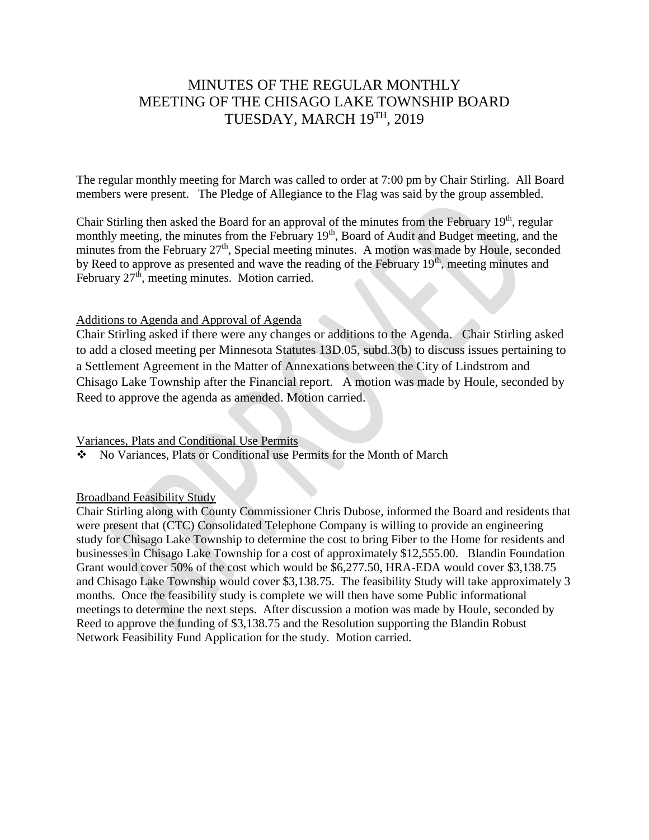# MINUTES OF THE REGULAR MONTHLY MEETING OF THE CHISAGO LAKE TOWNSHIP BOARD TUESDAY, MARCH 19TH , 2019

The regular monthly meeting for March was called to order at 7:00 pm by Chair Stirling. All Board members were present. The Pledge of Allegiance to the Flag was said by the group assembled.

Chair Stirling then asked the Board for an approval of the minutes from the February 19<sup>th</sup>, regular monthly meeting, the minutes from the February 19<sup>th</sup>, Board of Audit and Budget meeting, and the minutes from the February  $27<sup>th</sup>$ , Special meeting minutes. A motion was made by Houle, seconded by Reed to approve as presented and wave the reading of the February  $19<sup>th</sup>$ , meeting minutes and February  $27<sup>th</sup>$ , meeting minutes. Motion carried.

## Additions to Agenda and Approval of Agenda

Chair Stirling asked if there were any changes or additions to the Agenda. Chair Stirling asked to add a closed meeting per Minnesota Statutes 13D.05, subd.3(b) to discuss issues pertaining to a Settlement Agreement in the Matter of Annexations between the City of Lindstrom and Chisago Lake Township after the Financial report. A motion was made by Houle, seconded by Reed to approve the agenda as amended. Motion carried.

#### Variances, Plats and Conditional Use Permits

No Variances, Plats or Conditional use Permits for the Month of March

## Broadband Feasibility Study

Chair Stirling along with County Commissioner Chris Dubose, informed the Board and residents that were present that (CTC) Consolidated Telephone Company is willing to provide an engineering study for Chisago Lake Township to determine the cost to bring Fiber to the Home for residents and businesses in Chisago Lake Township for a cost of approximately \$12,555.00. Blandin Foundation Grant would cover 50% of the cost which would be \$6,277.50, HRA-EDA would cover \$3,138.75 and Chisago Lake Township would cover \$3,138.75. The feasibility Study will take approximately 3 months. Once the feasibility study is complete we will then have some Public informational meetings to determine the next steps. After discussion a motion was made by Houle, seconded by Reed to approve the funding of \$3,138.75 and the Resolution supporting the Blandin Robust Network Feasibility Fund Application for the study. Motion carried.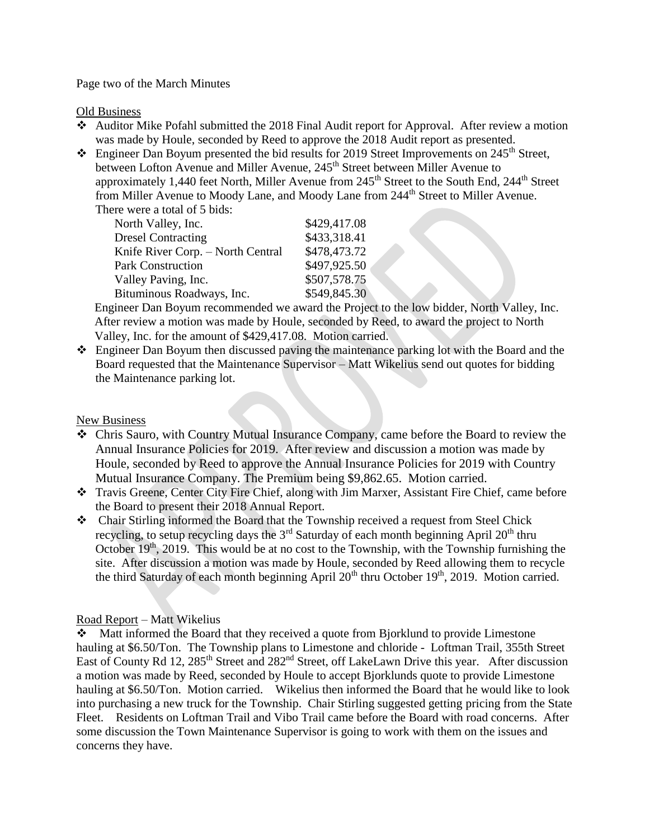#### Page two of the March Minutes

Old Business

- Auditor Mike Pofahl submitted the 2018 Final Audit report for Approval. After review a motion was made by Houle, seconded by Reed to approve the 2018 Audit report as presented.
- $\cdot$  Engineer Dan Boyum presented the bid results for 2019 Street Improvements on 245<sup>th</sup> Street, between Lofton Avenue and Miller Avenue, 245<sup>th</sup> Street between Miller Avenue to approximately 1,440 feet North, Miller Avenue from  $245<sup>th</sup>$  Street to the South End,  $244<sup>th</sup>$  Street from Miller Avenue to Moody Lane, and Moody Lane from 244<sup>th</sup> Street to Miller Avenue. There were a total of 5 bids:

| North Valley, Inc.                | \$429,417.08 |
|-----------------------------------|--------------|
| <b>Dresel Contracting</b>         | \$433,318.41 |
| Knife River Corp. - North Central | \$478,473.72 |
| <b>Park Construction</b>          | \$497,925.50 |
| Valley Paving, Inc.               | \$507,578.75 |
| Bituminous Roadways, Inc.         | \$549,845.30 |

 Engineer Dan Boyum recommended we award the Project to the low bidder, North Valley, Inc. After review a motion was made by Houle, seconded by Reed, to award the project to North Valley, Inc. for the amount of \$429,417.08. Motion carried.

 Engineer Dan Boyum then discussed paving the maintenance parking lot with the Board and the Board requested that the Maintenance Supervisor – Matt Wikelius send out quotes for bidding the Maintenance parking lot.

## New Business

- Chris Sauro, with Country Mutual Insurance Company, came before the Board to review the Annual Insurance Policies for 2019. After review and discussion a motion was made by Houle, seconded by Reed to approve the Annual Insurance Policies for 2019 with Country Mutual Insurance Company. The Premium being \$9,862.65. Motion carried.
- Travis Greene, Center City Fire Chief, along with Jim Marxer, Assistant Fire Chief, came before the Board to present their 2018 Annual Report.
- Chair Stirling informed the Board that the Township received a request from Steel Chick recycling, to setup recycling days the  $3<sup>rd</sup>$  Saturday of each month beginning April 20<sup>th</sup> thru October  $19<sup>th</sup>$ , 2019. This would be at no cost to the Township, with the Township furnishing the site. After discussion a motion was made by Houle, seconded by Reed allowing them to recycle the third Saturday of each month beginning April 20<sup>th</sup> thru October 19<sup>th</sup>, 2019. Motion carried.

## Road Report – Matt Wikelius

Matt informed the Board that they received a quote from Bjorklund to provide Limestone hauling at \$6.50/Ton. The Township plans to Limestone and chloride - Loftman Trail, 355th Street East of County Rd 12, 285<sup>th</sup> Street and 282<sup>nd</sup> Street, off LakeLawn Drive this year. After discussion a motion was made by Reed, seconded by Houle to accept Bjorklunds quote to provide Limestone hauling at \$6.50/Ton. Motion carried. Wikelius then informed the Board that he would like to look into purchasing a new truck for the Township. Chair Stirling suggested getting pricing from the State Fleet. Residents on Loftman Trail and Vibo Trail came before the Board with road concerns. After some discussion the Town Maintenance Supervisor is going to work with them on the issues and concerns they have.